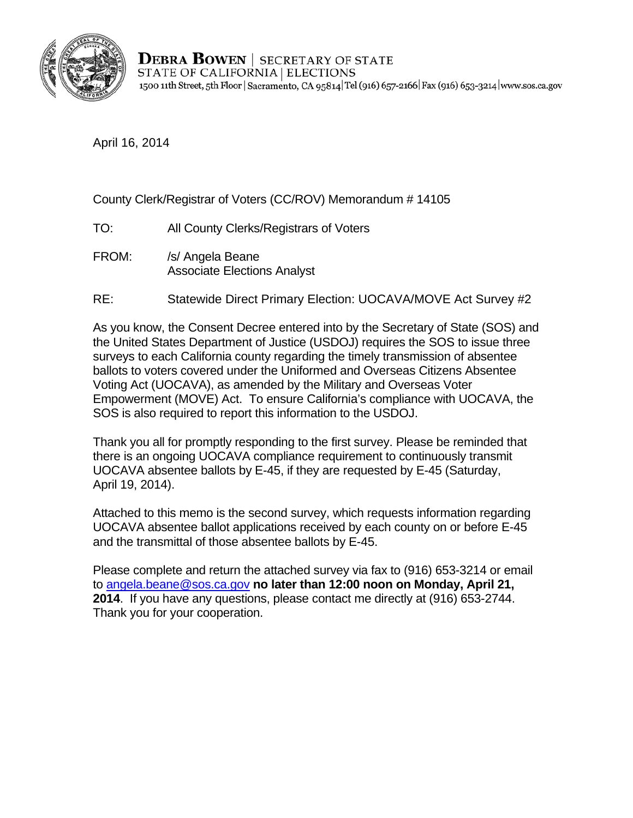

**DEBRA BOWEN** | SECRETARY OF STATE STATE OF CALIFORNIA | ELECTIONS 1500 11th Street, 5th Floor | Sacramento, CA 95814 Tel (916) 657-2166 | Fax (916) 653-3214 | www.sos.ca.gov

April 16, 2014

## County Clerk/Registrar of Voters (CC/ROV) Memorandum # 14105

- TO: All County Clerks/Registrars of Voters
- FROM: /s/ Angela Beane Associate Elections Analyst
- RE: Statewide Direct Primary Election: UOCAVA/MOVE Act Survey #2

As you know, the Consent Decree entered into by the Secretary of State (SOS) and the United States Department of Justice (USDOJ) requires the SOS to issue three surveys to each California county regarding the timely transmission of absentee ballots to voters covered under the Uniformed and Overseas Citizens Absentee Voting Act (UOCAVA), as amended by the Military and Overseas Voter Empowerment (MOVE) Act. To ensure California's compliance with UOCAVA, the SOS is also required to report this information to the USDOJ.

Thank you all for promptly responding to the first survey. Please be reminded that there is an ongoing UOCAVA compliance requirement to continuously transmit UOCAVA absentee ballots by E-45, if they are requested by E-45 (Saturday, April 19, 2014).

Attached to this memo is the second survey, which requests information regarding UOCAVA absentee ballot applications received by each county on or before E-45 and the transmittal of those absentee ballots by E-45.

Please complete and return the attached survey via fax to (916) 653-3214 or email to angela.beane@sos.ca.gov **no later than 12:00 noon on Monday, April 21, 2014**. If you have any questions, please contact me directly at (916) 653-2744. Thank you for your cooperation.